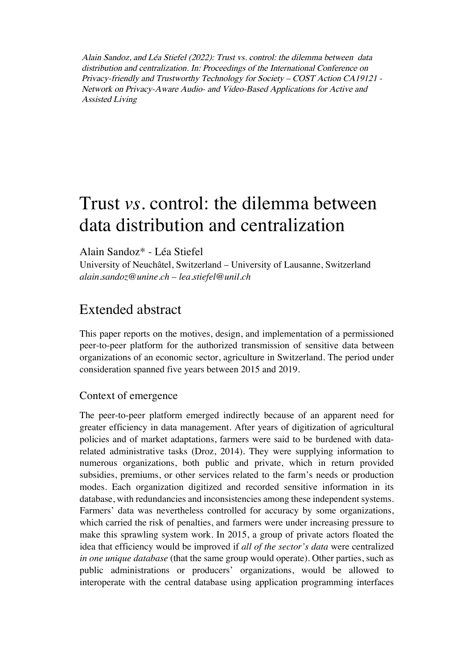Alain Sandoz, and Léa Stiefel (2022): Trust vs. control: the dilemma between data distribution and centralization. In: Proceedings of the International Conference on Privacy-friendly and Trustworthy Technology for Society – COST Action CA19121 - Network on Privacy-Aware Audio- and Video-Based Applications for Active and Assisted Living

# Trust *vs.* control: the dilemma between data distribution and centralization

Alain Sandoz\* - Léa Stiefel

University of Neuchâtel, Switzerland – University of Lausanne, Switzerland *alain.sandoz@unine.ch* – *lea.stiefel@unil.ch* 

## Extended abstract

This paper reports on the motives, design, and implementation of a permissioned peer-to-peer platform for the authorized transmission of sensitive data between organizations of an economic sector, agriculture in Switzerland. The period under consideration spanned five years between 2015 and 2019.

#### Context of emergence

The peer-to-peer platform emerged indirectly because of an apparent need for greater efficiency in data management. After years of digitization of agricultural policies and of market adaptations, farmers were said to be burdened with datarelated administrative tasks (Droz, 2014). They were supplying information to numerous organizations, both public and private, which in return provided subsidies, premiums, or other services related to the farm's needs or production modes. Each organization digitized and recorded sensitive information in its database, with redundancies and inconsistencies among these independent systems. Farmers' data was nevertheless controlled for accuracy by some organizations, which carried the risk of penalties, and farmers were under increasing pressure to make this sprawling system work. In 2015, a group of private actors floated the idea that efficiency would be improved if *all of the sector's data* were centralized *in one unique database* (that the same group would operate). Other parties, such as public administrations or producers' organizations, would be allowed to interoperate with the central database using application programming interfaces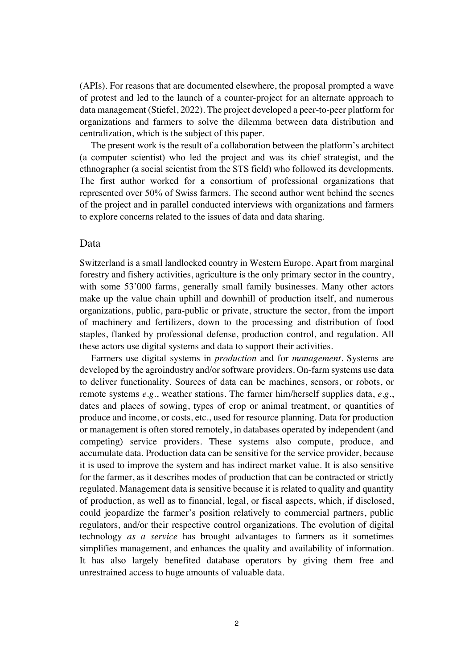(APIs). For reasons that are documented elsewhere, the proposal prompted a wave of protest and led to the launch of a counter-project for an alternate approach to data management (Stiefel, 2022). The project developed a peer-to-peer platform for organizations and farmers to solve the dilemma between data distribution and centralization, which is the subject of this paper.

The present work is the result of a collaboration between the platform's architect (a computer scientist) who led the project and was its chief strategist, and the ethnographer (a social scientist from the STS field) who followed its developments. The first author worked for a consortium of professional organizations that represented over 50% of Swiss farmers. The second author went behind the scenes of the project and in parallel conducted interviews with organizations and farmers to explore concerns related to the issues of data and data sharing.

#### Data

Switzerland is a small landlocked country in Western Europe. Apart from marginal forestry and fishery activities, agriculture is the only primary sector in the country, with some 53'000 farms, generally small family businesses. Many other actors make up the value chain uphill and downhill of production itself, and numerous organizations, public, para-public or private, structure the sector, from the import of machinery and fertilizers, down to the processing and distribution of food staples, flanked by professional defense, production control, and regulation. All these actors use digital systems and data to support their activities.

Farmers use digital systems in *production* and for *management*. Systems are developed by the agroindustry and/or software providers. On-farm systems use data to deliver functionality. Sources of data can be machines, sensors, or robots, or remote systems *e.g.*, weather stations. The farmer him/herself supplies data, *e.g.*, dates and places of sowing, types of crop or animal treatment, or quantities of produce and income, or costs, etc., used for resource planning. Data for production or management is often stored remotely, in databases operated by independent (and competing) service providers. These systems also compute, produce, and accumulate data. Production data can be sensitive for the service provider, because it is used to improve the system and has indirect market value. It is also sensitive for the farmer, as it describes modes of production that can be contracted or strictly regulated. Management data is sensitive because it is related to quality and quantity of production, as well as to financial, legal, or fiscal aspects, which, if disclosed, could jeopardize the farmer's position relatively to commercial partners, public regulators, and/or their respective control organizations. The evolution of digital technology *as a service* has brought advantages to farmers as it sometimes simplifies management, and enhances the quality and availability of information. It has also largely benefited database operators by giving them free and unrestrained access to huge amounts of valuable data.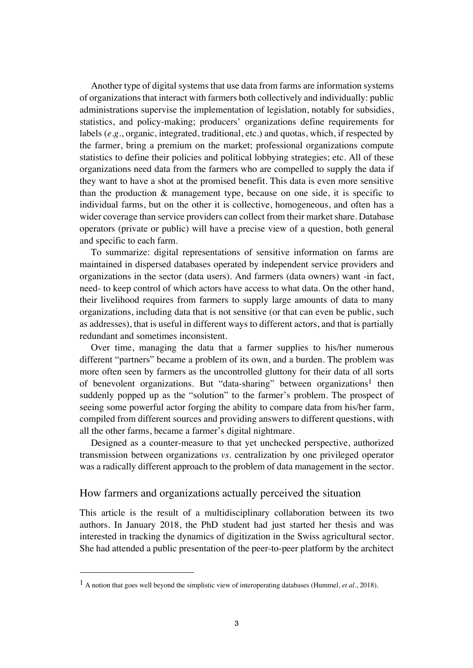Another type of digital systems that use data from farms are information systems of organizations that interact with farmers both collectively and individually: public administrations supervise the implementation of legislation, notably for subsidies, statistics, and policy-making; producers' organizations define requirements for labels (*e.g.*, organic, integrated, traditional, etc.) and quotas, which, if respected by the farmer, bring a premium on the market; professional organizations compute statistics to define their policies and political lobbying strategies; etc. All of these organizations need data from the farmers who are compelled to supply the data if they want to have a shot at the promised benefit. This data is even more sensitive than the production & management type, because on one side, it is specific to individual farms, but on the other it is collective, homogeneous, and often has a wider coverage than service providers can collect from their market share. Database operators (private or public) will have a precise view of a question, both general and specific to each farm.

To summarize: digital representations of sensitive information on farms are maintained in dispersed databases operated by independent service providers and organizations in the sector (data users). And farmers (data owners) want -in fact, need- to keep control of which actors have access to what data. On the other hand, their livelihood requires from farmers to supply large amounts of data to many organizations, including data that is not sensitive (or that can even be public, such as addresses), that is useful in different ways to different actors, and that is partially redundant and sometimes inconsistent.

Over time, managing the data that a farmer supplies to his/her numerous different "partners" became a problem of its own, and a burden. The problem was more often seen by farmers as the uncontrolled gluttony for their data of all sorts of benevolent organizations. But "data-sharing" between organizations<sup>1</sup> then suddenly popped up as the "solution" to the farmer's problem. The prospect of seeing some powerful actor forging the ability to compare data from his/her farm, compiled from different sources and providing answers to different questions, with all the other farms, became a farmer's digital nightmare.

Designed as a counter-measure to that yet unchecked perspective, authorized transmission between organizations *vs*. centralization by one privileged operator was a radically different approach to the problem of data management in the sector.

#### How farmers and organizations actually perceived the situation

This article is the result of a multidisciplinary collaboration between its two authors. In January 2018, the PhD student had just started her thesis and was interested in tracking the dynamics of digitization in the Swiss agricultural sector. She had attended a public presentation of the peer-to-peer platform by the architect

<sup>1</sup> A notion that goes well beyond the simplistic view of interoperating databases (Hummel, *et al.*, 2018).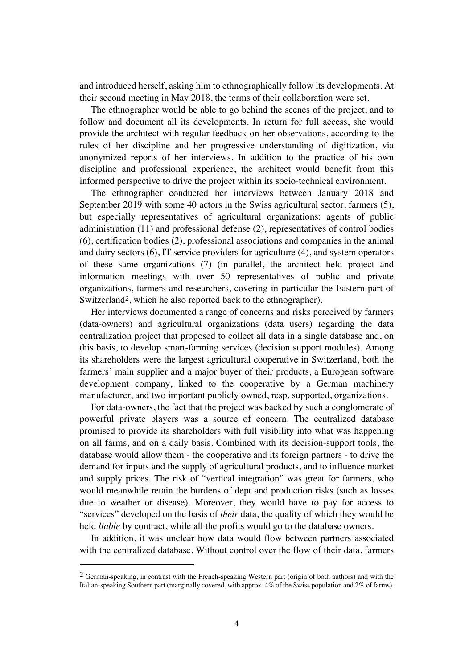and introduced herself, asking him to ethnographically follow its developments. At their second meeting in May 2018, the terms of their collaboration were set.

The ethnographer would be able to go behind the scenes of the project, and to follow and document all its developments. In return for full access, she would provide the architect with regular feedback on her observations, according to the rules of her discipline and her progressive understanding of digitization, via anonymized reports of her interviews. In addition to the practice of his own discipline and professional experience, the architect would benefit from this informed perspective to drive the project within its socio-technical environment.

The ethnographer conducted her interviews between January 2018 and September 2019 with some 40 actors in the Swiss agricultural sector, farmers (5), but especially representatives of agricultural organizations: agents of public administration (11) and professional defense (2), representatives of control bodies (6), certification bodies (2), professional associations and companies in the animal and dairy sectors (6), IT service providers for agriculture (4), and system operators of these same organizations (7) (in parallel, the architect held project and information meetings with over 50 representatives of public and private organizations, farmers and researchers, covering in particular the Eastern part of Switzerland<sup>2</sup>, which he also reported back to the ethnographer).

Her interviews documented a range of concerns and risks perceived by farmers (data-owners) and agricultural organizations (data users) regarding the data centralization project that proposed to collect all data in a single database and, on this basis, to develop smart-farming services (decision support modules). Among its shareholders were the largest agricultural cooperative in Switzerland, both the farmers' main supplier and a major buyer of their products, a European software development company, linked to the cooperative by a German machinery manufacturer, and two important publicly owned, resp. supported, organizations.

For data-owners, the fact that the project was backed by such a conglomerate of powerful private players was a source of concern. The centralized database promised to provide its shareholders with full visibility into what was happening on all farms, and on a daily basis. Combined with its decision-support tools, the database would allow them - the cooperative and its foreign partners - to drive the demand for inputs and the supply of agricultural products, and to influence market and supply prices. The risk of "vertical integration" was great for farmers, who would meanwhile retain the burdens of dept and production risks (such as losses due to weather or disease). Moreover, they would have to pay for access to "services" developed on the basis of *their* data, the quality of which they would be held *liable* by contract, while all the profits would go to the database owners.

In addition, it was unclear how data would flow between partners associated with the centralized database. Without control over the flow of their data, farmers

 $2$  German-speaking, in contrast with the French-speaking Western part (origin of both authors) and with the Italian-speaking Southern part (marginally covered, with approx. 4% of the Swiss population and 2% of farms).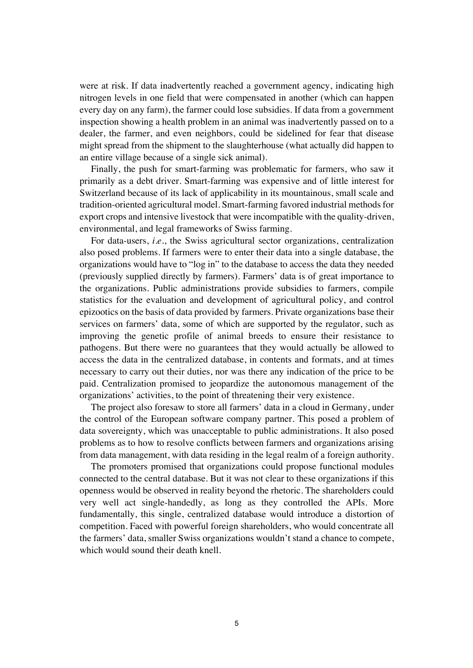were at risk. If data inadvertently reached a government agency, indicating high nitrogen levels in one field that were compensated in another (which can happen every day on any farm), the farmer could lose subsidies. If data from a government inspection showing a health problem in an animal was inadvertently passed on to a dealer, the farmer, and even neighbors, could be sidelined for fear that disease might spread from the shipment to the slaughterhouse (what actually did happen to an entire village because of a single sick animal).

Finally, the push for smart-farming was problematic for farmers, who saw it primarily as a debt driver. Smart-farming was expensive and of little interest for Switzerland because of its lack of applicability in its mountainous, small scale and tradition-oriented agricultural model. Smart-farming favored industrial methods for export crops and intensive livestock that were incompatible with the quality-driven, environmental, and legal frameworks of Swiss farming.

For data-users, *i.e.*, the Swiss agricultural sector organizations, centralization also posed problems. If farmers were to enter their data into a single database, the organizations would have to "log in" to the database to access the data they needed (previously supplied directly by farmers). Farmers' data is of great importance to the organizations. Public administrations provide subsidies to farmers, compile statistics for the evaluation and development of agricultural policy, and control epizootics on the basis of data provided by farmers. Private organizations base their services on farmers' data, some of which are supported by the regulator, such as improving the genetic profile of animal breeds to ensure their resistance to pathogens. But there were no guarantees that they would actually be allowed to access the data in the centralized database, in contents and formats, and at times necessary to carry out their duties, nor was there any indication of the price to be paid. Centralization promised to jeopardize the autonomous management of the organizations' activities, to the point of threatening their very existence.

The project also foresaw to store all farmers' data in a cloud in Germany, under the control of the European software company partner. This posed a problem of data sovereignty, which was unacceptable to public administrations. It also posed problems as to how to resolve conflicts between farmers and organizations arising from data management, with data residing in the legal realm of a foreign authority.

The promoters promised that organizations could propose functional modules connected to the central database. But it was not clear to these organizations if this openness would be observed in reality beyond the rhetoric. The shareholders could very well act single-handedly, as long as they controlled the APIs. More fundamentally, this single, centralized database would introduce a distortion of competition. Faced with powerful foreign shareholders, who would concentrate all the farmers' data, smaller Swiss organizations wouldn't stand a chance to compete, which would sound their death knell.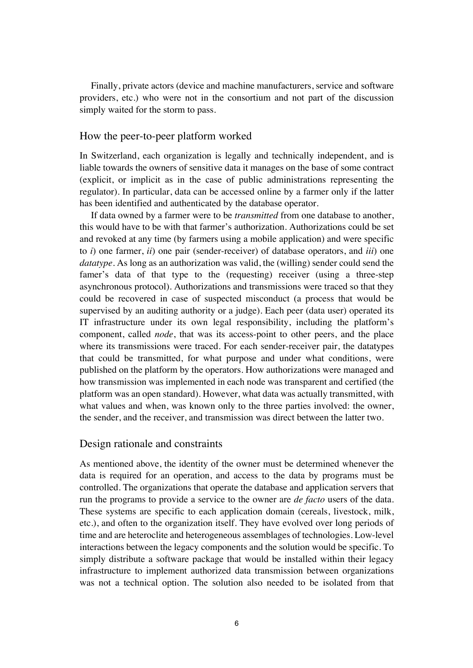Finally, private actors (device and machine manufacturers, service and software providers, etc.) who were not in the consortium and not part of the discussion simply waited for the storm to pass.

#### How the peer-to-peer platform worked

In Switzerland, each organization is legally and technically independent, and is liable towards the owners of sensitive data it manages on the base of some contract (explicit, or implicit as in the case of public administrations representing the regulator). In particular, data can be accessed online by a farmer only if the latter has been identified and authenticated by the database operator.

If data owned by a farmer were to be *transmitted* from one database to another, this would have to be with that farmer's authorization. Authorizations could be set and revoked at any time (by farmers using a mobile application) and were specific to *i*) one farmer, *ii*) one pair (sender-receiver) of database operators, and *iii*) one *datatype*. As long as an authorization was valid, the (willing) sender could send the famer's data of that type to the (requesting) receiver (using a three-step asynchronous protocol). Authorizations and transmissions were traced so that they could be recovered in case of suspected misconduct (a process that would be supervised by an auditing authority or a judge). Each peer (data user) operated its IT infrastructure under its own legal responsibility, including the platform's component, called *node*, that was its access-point to other peers, and the place where its transmissions were traced. For each sender-receiver pair, the datatypes that could be transmitted, for what purpose and under what conditions, were published on the platform by the operators. How authorizations were managed and how transmission was implemented in each node was transparent and certified (the platform was an open standard). However, what data was actually transmitted, with what values and when, was known only to the three parties involved: the owner, the sender, and the receiver, and transmission was direct between the latter two.

#### Design rationale and constraints

As mentioned above, the identity of the owner must be determined whenever the data is required for an operation, and access to the data by programs must be controlled. The organizations that operate the database and application servers that run the programs to provide a service to the owner are *de facto* users of the data. These systems are specific to each application domain (cereals, livestock, milk, etc.), and often to the organization itself. They have evolved over long periods of time and are heteroclite and heterogeneous assemblages of technologies. Low-level interactions between the legacy components and the solution would be specific. To simply distribute a software package that would be installed within their legacy infrastructure to implement authorized data transmission between organizations was not a technical option. The solution also needed to be isolated from that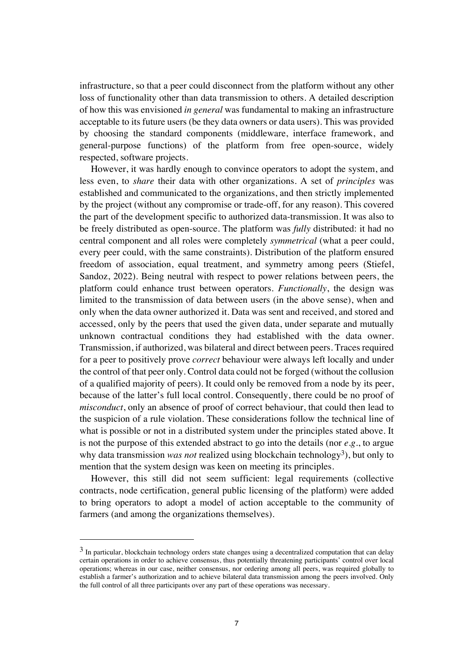infrastructure, so that a peer could disconnect from the platform without any other loss of functionality other than data transmission to others. A detailed description of how this was envisioned *in general* was fundamental to making an infrastructure acceptable to its future users (be they data owners or data users). This was provided by choosing the standard components (middleware, interface framework, and general-purpose functions) of the platform from free open-source, widely respected, software projects.

However, it was hardly enough to convince operators to adopt the system, and less even, to *share* their data with other organizations. A set of *principles* was established and communicated to the organizations, and then strictly implemented by the project (without any compromise or trade-off, for any reason). This covered the part of the development specific to authorized data-transmission. It was also to be freely distributed as open-source. The platform was *fully* distributed: it had no central component and all roles were completely *symmetrical* (what a peer could, every peer could, with the same constraints). Distribution of the platform ensured freedom of association, equal treatment, and symmetry among peers (Stiefel, Sandoz, 2022). Being neutral with respect to power relations between peers, the platform could enhance trust between operators. *Functionally*, the design was limited to the transmission of data between users (in the above sense), when and only when the data owner authorized it. Data was sent and received, and stored and accessed, only by the peers that used the given data, under separate and mutually unknown contractual conditions they had established with the data owner. Transmission, if authorized, was bilateral and direct between peers. Traces required for a peer to positively prove *correct* behaviour were always left locally and under the control of that peer only. Control data could not be forged (without the collusion of a qualified majority of peers). It could only be removed from a node by its peer, because of the latter's full local control. Consequently, there could be no proof of *misconduct*, only an absence of proof of correct behaviour, that could then lead to the suspicion of a rule violation. These considerations follow the technical line of what is possible or not in a distributed system under the principles stated above. It is not the purpose of this extended abstract to go into the details (nor *e.g.*, to argue why data transmission *was not* realized using blockchain technology<sup>3</sup>), but only to mention that the system design was keen on meeting its principles.

However, this still did not seem sufficient: legal requirements (collective contracts, node certification, general public licensing of the platform) were added to bring operators to adopt a model of action acceptable to the community of farmers (and among the organizations themselves).

 $3$  In particular, blockchain technology orders state changes using a decentralized computation that can delay certain operations in order to achieve consensus, thus potentially threatening participants' control over local operations; whereas in our case, neither consensus, nor ordering among all peers, was required globally to establish a farmer's authorization and to achieve bilateral data transmission among the peers involved. Only the full control of all three participants over any part of these operations was necessary.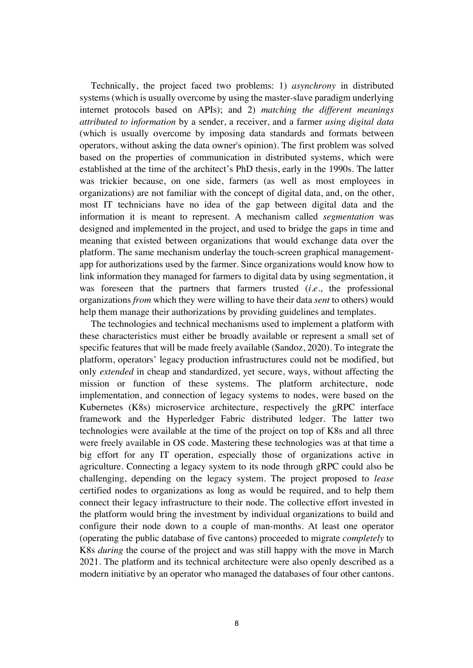Technically, the project faced two problems: 1) *asynchrony* in distributed systems (which is usually overcome by using the master-slave paradigm underlying internet protocols based on APIs); and 2) *matching the different meanings attributed to information* by a sender, a receiver, and a farmer *using digital data* (which is usually overcome by imposing data standards and formats between operators, without asking the data owner's opinion). The first problem was solved based on the properties of communication in distributed systems, which were established at the time of the architect's PhD thesis, early in the 1990s. The latter was trickier because, on one side, farmers (as well as most employees in organizations) are not familiar with the concept of digital data, and, on the other, most IT technicians have no idea of the gap between digital data and the information it is meant to represent. A mechanism called *segmentation* was designed and implemented in the project, and used to bridge the gaps in time and meaning that existed between organizations that would exchange data over the platform. The same mechanism underlay the touch-screen graphical managementapp for authorizations used by the farmer. Since organizations would know how to link information they managed for farmers to digital data by using segmentation, it was foreseen that the partners that farmers trusted (*i.e.*, the professional organizations *from* which they were willing to have their data *sent* to others) would help them manage their authorizations by providing guidelines and templates.

The technologies and technical mechanisms used to implement a platform with these characteristics must either be broadly available or represent a small set of specific features that will be made freely available (Sandoz, 2020). To integrate the platform, operators' legacy production infrastructures could not be modified, but only *extended* in cheap and standardized, yet secure, ways, without affecting the mission or function of these systems. The platform architecture, node implementation, and connection of legacy systems to nodes, were based on the Kubernetes (K8s) microservice architecture, respectively the gRPC interface framework and the Hyperledger Fabric distributed ledger. The latter two technologies were available at the time of the project on top of K8s and all three were freely available in OS code. Mastering these technologies was at that time a big effort for any IT operation, especially those of organizations active in agriculture. Connecting a legacy system to its node through gRPC could also be challenging, depending on the legacy system. The project proposed to *lease* certified nodes to organizations as long as would be required, and to help them connect their legacy infrastructure to their node. The collective effort invested in the platform would bring the investment by individual organizations to build and configure their node down to a couple of man-months. At least one operator (operating the public database of five cantons) proceeded to migrate *completely* to K8s *during* the course of the project and was still happy with the move in March 2021. The platform and its technical architecture were also openly described as a modern initiative by an operator who managed the databases of four other cantons.